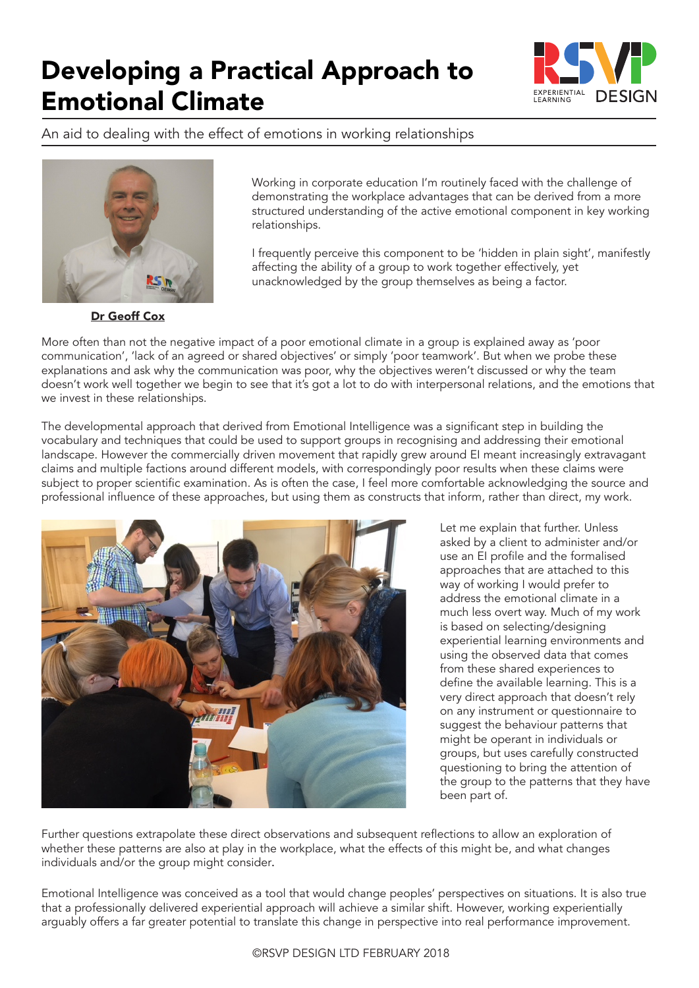

An aid to dealing with the effect of emotions in working relationships



Working in corporate education I'm routinely faced with the challenge of demonstrating the workplace advantages that can be derived from a more structured understanding of the active emotional component in key working relationships.

I frequently perceive this component to be 'hidden in plain sight', manifestly affecting the ability of a group to work together effectively, yet unacknowledged by the group themselves as being a factor.

Dr Geoff Cox

More often than not the negative impact of a poor emotional climate in a group is explained away as 'poor communication', 'lack of an agreed or shared objectives' or simply 'poor teamwork'. But when we probe these explanations and ask why the communication was poor, why the objectives weren't discussed or why the team doesn't work well together we begin to see that it's got a lot to do with interpersonal relations, and the emotions that we invest in these relationships.

The developmental approach that derived from Emotional Intelligence was a significant step in building the vocabulary and techniques that could be used to support groups in recognising and addressing their emotional landscape. However the commercially driven movement that rapidly grew around EI meant increasingly extravagant claims and multiple factions around different models, with correspondingly poor results when these claims were subject to proper scientific examination. As is often the case, I feel more comfortable acknowledging the source and professional influence of these approaches, but using them as constructs that inform, rather than direct, my work.



Let me explain that further. Unless asked by a client to administer and/or use an EI profile and the formalised approaches that are attached to this way of working I would prefer to address the emotional climate in a much less overt way. Much of my work is based on selecting/designing experiential learning environments and using the observed data that comes from these shared experiences to define the available learning. This is a very direct approach that doesn't rely on any instrument or questionnaire to suggest the behaviour patterns that might be operant in individuals or groups, but uses carefully constructed questioning to bring the attention of the group to the patterns that they have been part of.

Further questions extrapolate these direct observations and subsequent reflections to allow an exploration of whether these patterns are also at play in the workplace, what the effects of this might be, and what changes individuals and/or the group might consider.

Emotional Intelligence was conceived as a tool that would change peoples' perspectives on situations. It is also true that a professionally delivered experiential approach will achieve a similar shift. However, working experientially arguably offers a far greater potential to translate this change in perspective into real performance improvement.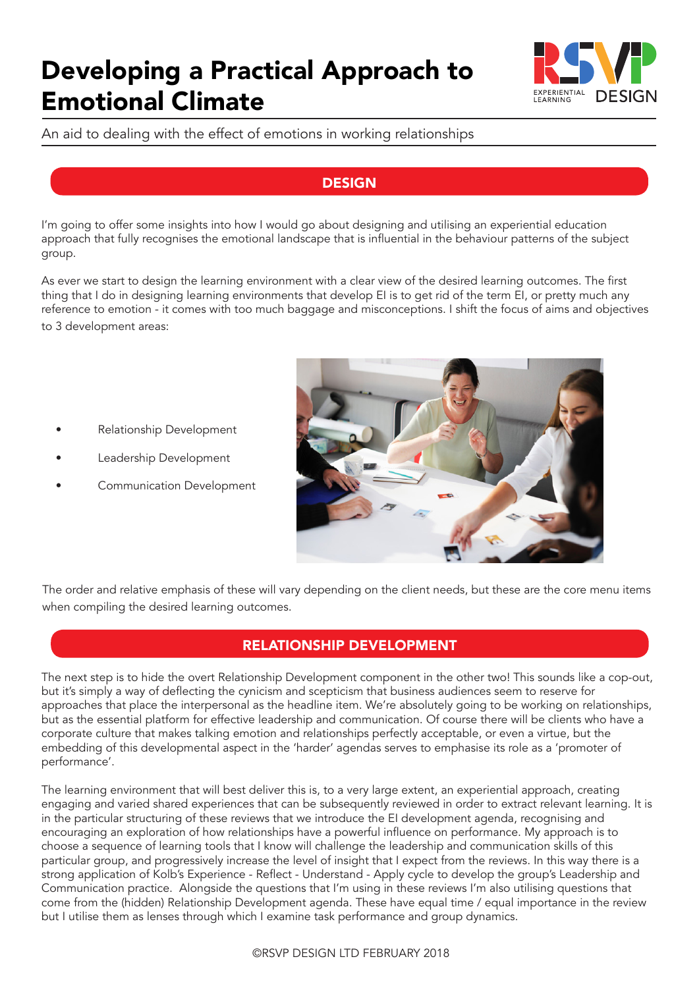

An aid to dealing with the effect of emotions in working relationships

#### **DESIGN**

I'm going to offer some insights into how I would go about designing and utilising an experiential education approach that fully recognises the emotional landscape that is influential in the behaviour patterns of the subject group.

As ever we start to design the learning environment with a clear view of the desired learning outcomes. The first thing that I do in designing learning environments that develop EI is to get rid of the term EI, or pretty much any reference to emotion - it comes with too much baggage and misconceptions. I shift the focus of aims and objectives to 3 development areas:

- Relationship Development
- Leadership Development
- Communication Development



The order and relative emphasis of these will vary depending on the client needs, but these are the core menu items when compiling the desired learning outcomes.

## RELATIONSHIP DEVELOPMENT

The next step is to hide the overt Relationship Development component in the other two! This sounds like a cop-out, but it's simply a way of deflecting the cynicism and scepticism that business audiences seem to reserve for approaches that place the interpersonal as the headline item. We're absolutely going to be working on relationships, but as the essential platform for effective leadership and communication. Of course there will be clients who have a corporate culture that makes talking emotion and relationships perfectly acceptable, or even a virtue, but the embedding of this developmental aspect in the 'harder' agendas serves to emphasise its role as a 'promoter of performance'.

The learning environment that will best deliver this is, to a very large extent, an experiential approach, creating engaging and varied shared experiences that can be subsequently reviewed in order to extract relevant learning. It is in the particular structuring of these reviews that we introduce the EI development agenda, recognising and encouraging an exploration of how relationships have a powerful influence on performance. My approach is to choose a sequence of learning tools that I know will challenge the leadership and communication skills of this particular group, and progressively increase the level of insight that I expect from the reviews. In this way there is a strong application of Kolb's Experience - Reflect - Understand - Apply cycle to develop the group's Leadership and Communication practice. Alongside the questions that I'm using in these reviews I'm also utilising questions that come from the (hidden) Relationship Development agenda. These have equal time / equal importance in the review but I utilise them as lenses through which I examine task performance and group dynamics.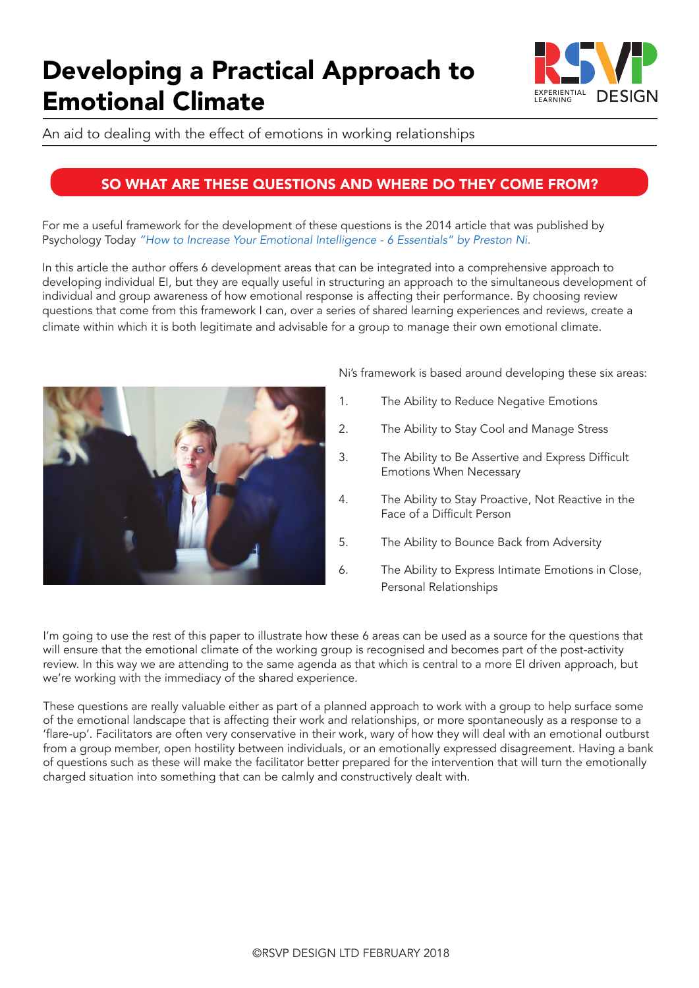

An aid to dealing with the effect of emotions in working relationships

#### SO WHAT ARE THESE QUESTIONS AND WHERE DO THEY COME FROM?

For me a useful framework for the development of these questions is the 2014 article that was published by Psychology Today *"How to Increase Your Emotional Intelligence - 6 Essentials" by Preston Ni.* 

In this article the author offers 6 development areas that can be integrated into a comprehensive approach to developing individual EI, but they are equally useful in structuring an approach to the simultaneous development of individual and group awareness of how emotional response is affecting their performance. By choosing review questions that come from this framework I can, over a series of shared learning experiences and reviews, create a climate within which it is both legitimate and advisable for a group to manage their own emotional climate.



Ni's framework is based around developing these six areas:

- 1. The Ability to Reduce Negative Emotions
- 2. The Ability to Stay Cool and Manage Stress
- 3. The Ability to Be Assertive and Express Difficult Emotions When Necessary
- 4. The Ability to Stay Proactive, Not Reactive in the Face of a Difficult Person
- 5. The Ability to Bounce Back from Adversity
- 6. The Ability to Express Intimate Emotions in Close, Personal Relationships

I'm going to use the rest of this paper to illustrate how these 6 areas can be used as a source for the questions that will ensure that the emotional climate of the working group is recognised and becomes part of the post-activity review. In this way we are attending to the same agenda as that which is central to a more EI driven approach, but we're working with the immediacy of the shared experience.

These questions are really valuable either as part of a planned approach to work with a group to help surface some of the emotional landscape that is affecting their work and relationships, or more spontaneously as a response to a 'flare-up'. Facilitators are often very conservative in their work, wary of how they will deal with an emotional outburst from a group member, open hostility between individuals, or an emotionally expressed disagreement. Having a bank of questions such as these will make the facilitator better prepared for the intervention that will turn the emotionally charged situation into something that can be calmly and constructively dealt with.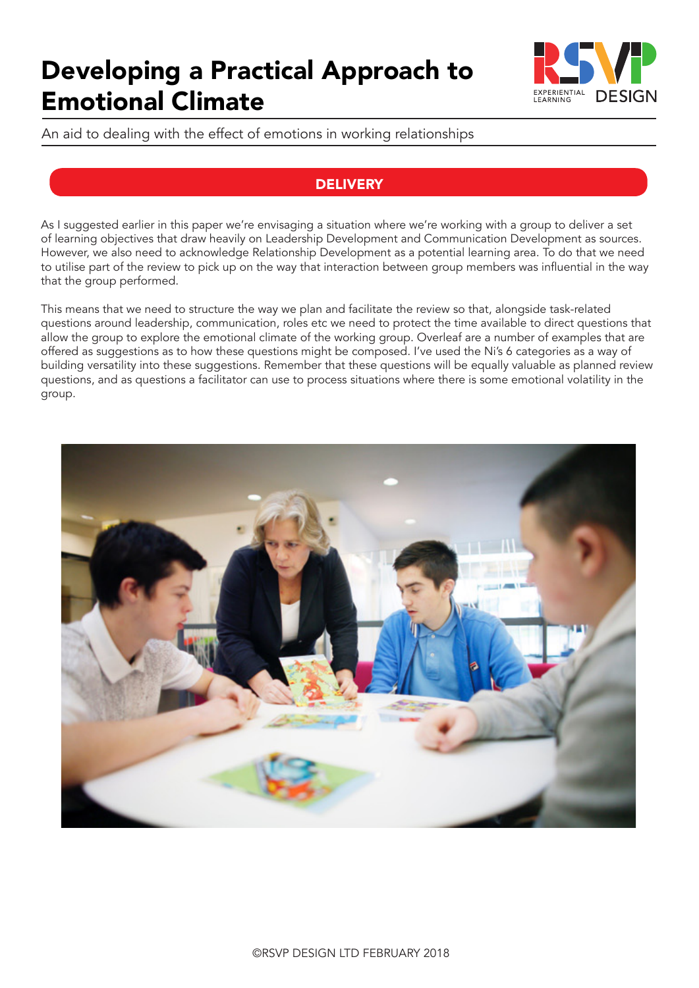

An aid to dealing with the effect of emotions in working relationships

## **DELIVERY**

As I suggested earlier in this paper we're envisaging a situation where we're working with a group to deliver a set of learning objectives that draw heavily on Leadership Development and Communication Development as sources. However, we also need to acknowledge Relationship Development as a potential learning area. To do that we need to utilise part of the review to pick up on the way that interaction between group members was influential in the way that the group performed.

This means that we need to structure the way we plan and facilitate the review so that, alongside task-related questions around leadership, communication, roles etc we need to protect the time available to direct questions that allow the group to explore the emotional climate of the working group. Overleaf are a number of examples that are offered as suggestions as to how these questions might be composed. I've used the Ni's 6 categories as a way of building versatility into these suggestions. Remember that these questions will be equally valuable as planned review questions, and as questions a facilitator can use to process situations where there is some emotional volatility in the group.

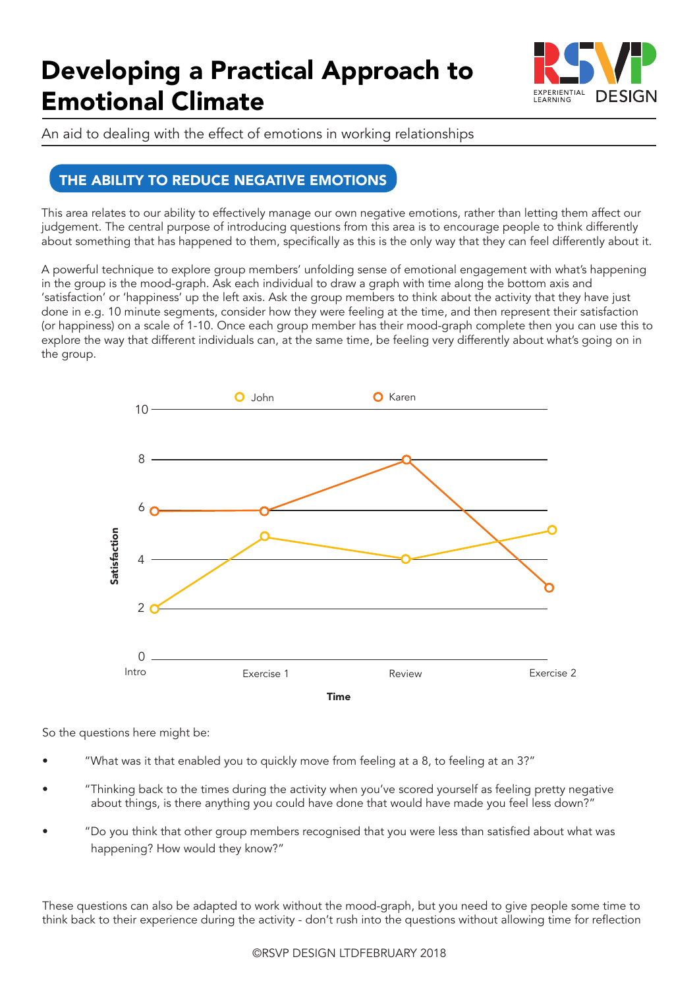

An aid to dealing with the effect of emotions in working relationships

## THE ABILITY TO REDUCE NEGATIVE EMOTIONS

This area relates to our ability to effectively manage our own negative emotions, rather than letting them affect our judgement. The central purpose of introducing questions from this area is to encourage people to think differently about something that has happened to them, specifically as this is the only way that they can feel differently about it.

A powerful technique to explore group members' unfolding sense of emotional engagement with what's happening in the group is the mood-graph. Ask each individual to draw a graph with time along the bottom axis and 'satisfaction' or 'happiness' up the left axis. Ask the group members to think about the activity that they have just done in e.g. 10 minute segments, consider how they were feeling at the time, and then represent their satisfaction (or happiness) on a scale of 1-10. Once each group member has their mood-graph complete then you can use this to explore the way that different individuals can, at the same time, be feeling very differently about what's going on in the group.



So the questions here might be:

- "What was it that enabled you to quickly move from feeling at a 8, to feeling at an 3?"
- "Thinking back to the times during the activity when you've scored yourself as feeling pretty negative about things, is there anything you could have done that would have made you feel less down?"
- "Do you think that other group members recognised that you were less than satisfied about what was happening? How would they know?"

These questions can also be adapted to work without the mood-graph, but you need to give people some time to think back to their experience during the activity - don't rush into the questions without allowing time for reflection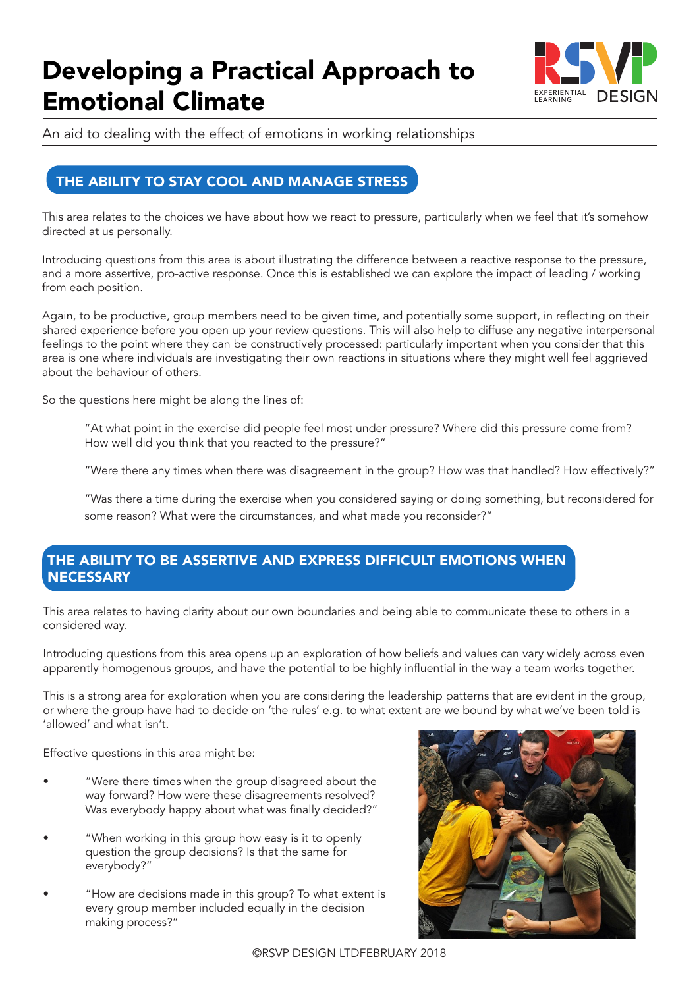

An aid to dealing with the effect of emotions in working relationships

## THE ABILITY TO STAY COOL AND MANAGE STRESS

This area relates to the choices we have about how we react to pressure, particularly when we feel that it's somehow directed at us personally.

Introducing questions from this area is about illustrating the difference between a reactive response to the pressure, and a more assertive, pro-active response. Once this is established we can explore the impact of leading / working from each position.

Again, to be productive, group members need to be given time, and potentially some support, in reflecting on their shared experience before you open up your review questions. This will also help to diffuse any negative interpersonal feelings to the point where they can be constructively processed: particularly important when you consider that this area is one where individuals are investigating their own reactions in situations where they might well feel aggrieved about the behaviour of others.

So the questions here might be along the lines of:

"At what point in the exercise did people feel most under pressure? Where did this pressure come from? How well did you think that you reacted to the pressure?"

"Were there any times when there was disagreement in the group? How was that handled? How effectively?"

"Was there a time during the exercise when you considered saying or doing something, but reconsidered for some reason? What were the circumstances, and what made you reconsider?"

### THE ABILITY TO BE ASSERTIVE AND EXPRESS DIFFICULT EMOTIONS WHEN **NECESSARY**

This area relates to having clarity about our own boundaries and being able to communicate these to others in a considered way.

Introducing questions from this area opens up an exploration of how beliefs and values can vary widely across even apparently homogenous groups, and have the potential to be highly influential in the way a team works together.

This is a strong area for exploration when you are considering the leadership patterns that are evident in the group, or where the group have had to decide on 'the rules' e.g. to what extent are we bound by what we've been told is 'allowed' and what isn't.

Effective questions in this area might be:

- "Were there times when the group disagreed about the way forward? How were these disagreements resolved? Was everybody happy about what was finally decided?"
- "When working in this group how easy is it to openly question the group decisions? Is that the same for everybody?"
- "How are decisions made in this group? To what extent is every group member included equally in the decision making process?"

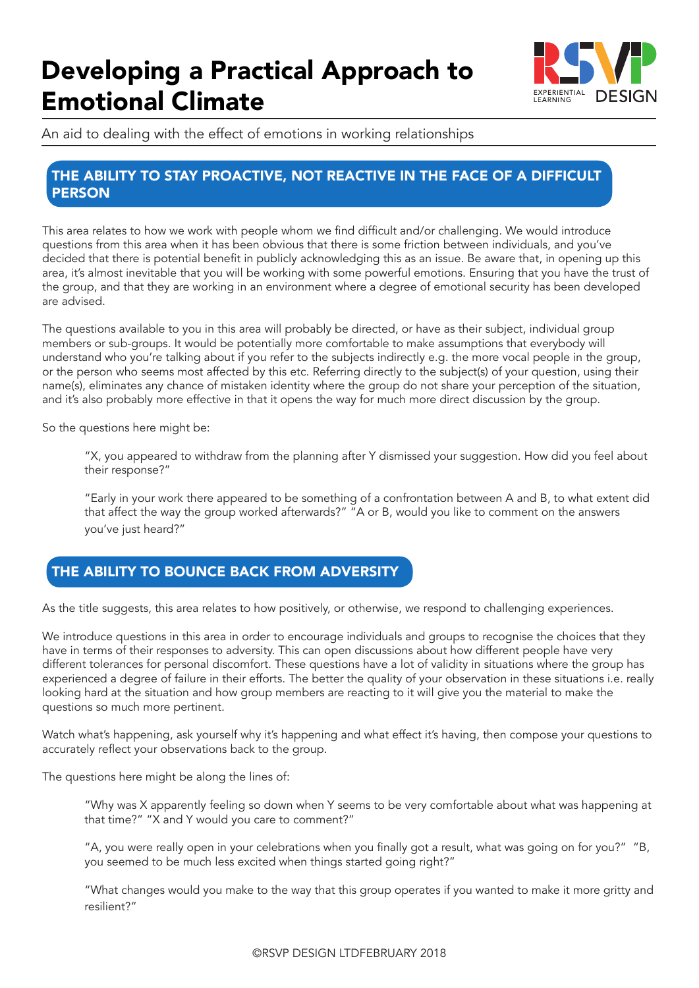

An aid to dealing with the effect of emotions in working relationships

#### THE ABILITY TO STAY PROACTIVE, NOT REACTIVE IN THE FACE OF A DIFFICULT **PERSON**

This area relates to how we work with people whom we find difficult and/or challenging. We would introduce questions from this area when it has been obvious that there is some friction between individuals, and you've decided that there is potential benefit in publicly acknowledging this as an issue. Be aware that, in opening up this area, it's almost inevitable that you will be working with some powerful emotions. Ensuring that you have the trust of the group, and that they are working in an environment where a degree of emotional security has been developed are advised.

The questions available to you in this area will probably be directed, or have as their subject, individual group members or sub-groups. It would be potentially more comfortable to make assumptions that everybody will understand who you're talking about if you refer to the subjects indirectly e.g. the more vocal people in the group, or the person who seems most affected by this etc. Referring directly to the subject(s) of your question, using their name(s), eliminates any chance of mistaken identity where the group do not share your perception of the situation, and it's also probably more effective in that it opens the way for much more direct discussion by the group.

So the questions here might be:

"X, you appeared to withdraw from the planning after Y dismissed your suggestion. How did you feel about their response?"

"Early in your work there appeared to be something of a confrontation between A and B, to what extent did that affect the way the group worked afterwards?" "A or B, would you like to comment on the answers you've just heard?"

## THE ABILITY TO BOUNCE BACK FROM ADVERSITY

As the title suggests, this area relates to how positively, or otherwise, we respond to challenging experiences.

We introduce questions in this area in order to encourage individuals and groups to recognise the choices that they have in terms of their responses to adversity. This can open discussions about how different people have very different tolerances for personal discomfort. These questions have a lot of validity in situations where the group has experienced a degree of failure in their efforts. The better the quality of your observation in these situations i.e. really looking hard at the situation and how group members are reacting to it will give you the material to make the questions so much more pertinent.

Watch what's happening, ask yourself why it's happening and what effect it's having, then compose your questions to accurately reflect your observations back to the group.

The questions here might be along the lines of:

"Why was X apparently feeling so down when Y seems to be very comfortable about what was happening at that time?" "X and Y would you care to comment?"

"A, you were really open in your celebrations when you finally got a result, what was going on for you?" "B, you seemed to be much less excited when things started going right?"

"What changes would you make to the way that this group operates if you wanted to make it more gritty and resilient?"